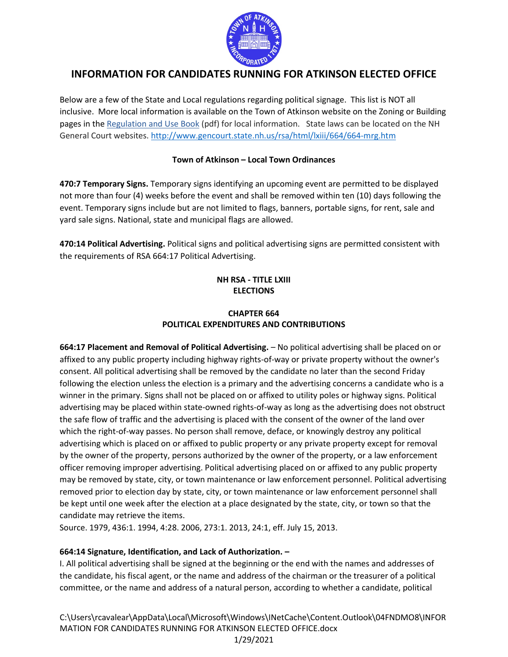

### **INFORMATION FOR CANDIDATES RUNNING FOR ATKINSON ELECTED OFFICE**

Below are a few of the State and Local regulations regarding political signage. This list is NOT all inclusive. More local information is available on the Town of Atkinson website on the Zoning or Building pages in the [Regulation and Use Book](http://www.town-atkinsonnh.com/documents_and_forms/Zoning/2020%20Zoning%20Ordinance%20Planning%20and%20Land%20Use%20Regulations.pdf) (pdf) for local information. State laws can be located on the NH General Court websites.<http://www.gencourt.state.nh.us/rsa/html/lxiii/664/664-mrg.htm>

#### **Town of Atkinson – Local Town Ordinances**

**470:7 Temporary Signs.** Temporary signs identifying an upcoming event are permitted to be displayed not more than four (4) weeks before the event and shall be removed within ten (10) days following the event. Temporary signs include but are not limited to flags, banners, portable signs, for rent, sale and yard sale signs. National, state and municipal flags are allowed.

**470:14 Political Advertising.** Political signs and political advertising signs are permitted consistent with the requirements of RSA 664:17 Political Advertising.

#### **NH RSA - TITLE LXIII ELECTIONS**

#### **CHAPTER 664 POLITICAL EXPENDITURES AND CONTRIBUTIONS**

**664:17 Placement and Removal of Political Advertising.** – No political advertising shall be placed on or affixed to any public property including highway rights-of-way or private property without the owner's consent. All political advertising shall be removed by the candidate no later than the second Friday following the election unless the election is a primary and the advertising concerns a candidate who is a winner in the primary. Signs shall not be placed on or affixed to utility poles or highway signs. Political advertising may be placed within state-owned rights-of-way as long as the advertising does not obstruct the safe flow of traffic and the advertising is placed with the consent of the owner of the land over which the right-of-way passes. No person shall remove, deface, or knowingly destroy any political advertising which is placed on or affixed to public property or any private property except for removal by the owner of the property, persons authorized by the owner of the property, or a law enforcement officer removing improper advertising. Political advertising placed on or affixed to any public property may be removed by state, city, or town maintenance or law enforcement personnel. Political advertising removed prior to election day by state, city, or town maintenance or law enforcement personnel shall be kept until one week after the election at a place designated by the state, city, or town so that the candidate may retrieve the items.

Source. 1979, 436:1. 1994, 4:28. 2006, 273:1. 2013, 24:1, eff. July 15, 2013.

#### **664:14 Signature, Identification, and Lack of Authorization. –**

I. All political advertising shall be signed at the beginning or the end with the names and addresses of the candidate, his fiscal agent, or the name and address of the chairman or the treasurer of a political committee, or the name and address of a natural person, according to whether a candidate, political

C:\Users\rcavalear\AppData\Local\Microsoft\Windows\INetCache\Content.Outlook\04FNDMO8\INFOR MATION FOR CANDIDATES RUNNING FOR ATKINSON ELECTED OFFICE.docx 1/29/2021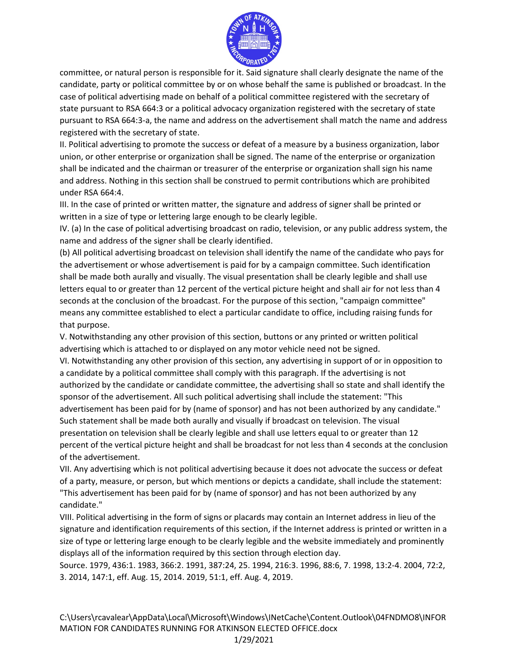

committee, or natural person is responsible for it. Said signature shall clearly designate the name of the candidate, party or political committee by or on whose behalf the same is published or broadcast. In the case of political advertising made on behalf of a political committee registered with the secretary of state pursuant to RSA 664:3 or a political advocacy organization registered with the secretary of state pursuant to RSA 664:3-a, the name and address on the advertisement shall match the name and address registered with the secretary of state.

II. Political advertising to promote the success or defeat of a measure by a business organization, labor union, or other enterprise or organization shall be signed. The name of the enterprise or organization shall be indicated and the chairman or treasurer of the enterprise or organization shall sign his name and address. Nothing in this section shall be construed to permit contributions which are prohibited under RSA 664:4.

III. In the case of printed or written matter, the signature and address of signer shall be printed or written in a size of type or lettering large enough to be clearly legible.

IV. (a) In the case of political advertising broadcast on radio, television, or any public address system, the name and address of the signer shall be clearly identified.

(b) All political advertising broadcast on television shall identify the name of the candidate who pays for the advertisement or whose advertisement is paid for by a campaign committee. Such identification shall be made both aurally and visually. The visual presentation shall be clearly legible and shall use letters equal to or greater than 12 percent of the vertical picture height and shall air for not less than 4 seconds at the conclusion of the broadcast. For the purpose of this section, "campaign committee" means any committee established to elect a particular candidate to office, including raising funds for that purpose.

V. Notwithstanding any other provision of this section, buttons or any printed or written political advertising which is attached to or displayed on any motor vehicle need not be signed.

VI. Notwithstanding any other provision of this section, any advertising in support of or in opposition to a candidate by a political committee shall comply with this paragraph. If the advertising is not authorized by the candidate or candidate committee, the advertising shall so state and shall identify the sponsor of the advertisement. All such political advertising shall include the statement: "This advertisement has been paid for by (name of sponsor) and has not been authorized by any candidate." Such statement shall be made both aurally and visually if broadcast on television. The visual presentation on television shall be clearly legible and shall use letters equal to or greater than 12 percent of the vertical picture height and shall be broadcast for not less than 4 seconds at the conclusion of the advertisement.

VII. Any advertising which is not political advertising because it does not advocate the success or defeat of a party, measure, or person, but which mentions or depicts a candidate, shall include the statement: "This advertisement has been paid for by (name of sponsor) and has not been authorized by any candidate."

VIII. Political advertising in the form of signs or placards may contain an Internet address in lieu of the signature and identification requirements of this section, if the Internet address is printed or written in a size of type or lettering large enough to be clearly legible and the website immediately and prominently displays all of the information required by this section through election day.

Source. 1979, 436:1. 1983, 366:2. 1991, 387:24, 25. 1994, 216:3. 1996, 88:6, 7. 1998, 13:2-4. 2004, 72:2, 3. 2014, 147:1, eff. Aug. 15, 2014. 2019, 51:1, eff. Aug. 4, 2019.